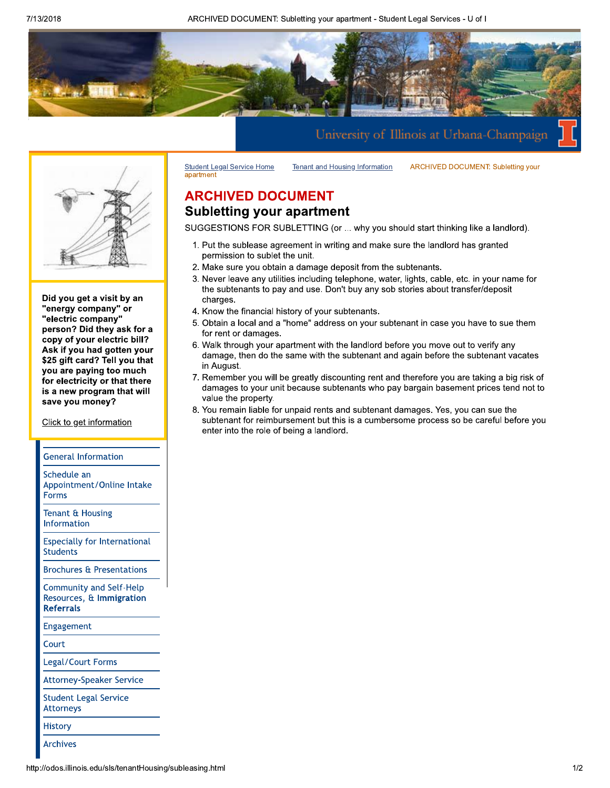ARCHIVED DOCUMENT: Subletting your apartment - Student Legal Services - U of I





Did you get a visit by an "energy company" or "electric company" person? Did they ask for a copy of your electric bill? Ask if you had gotten your \$25 gift card? Tell you that you are paying too much for electricity or that there is a new program that will save you money?

Click to get information

#### **General Information**

Schedule an Appointment/Online Intake **Forms** 

Tenant & Housing Information

**Especially for International Students** 

**Brochures & Presentations** 

**Community and Self-Help** Resources, & Immigration **Referrals** 

Engagement

Court

Legal/Court Forms

**Attorney-Speaker Service** 

**Student Legal Service Attorneys** 

**History** 

**Archives** 

**Tenant and Housing Information ARCHIVED DOCUMENT: Subletting your** 

## **ARCHIVED DOCUMENT Subletting your apartment**

**Student Legal Service Home** 

apartment

SUGGESTIONS FOR SUBLETTING (or ... why you should start thinking like a landlord).

- 1. Put the sublease agreement in writing and make sure the landlord has granted permission to sublet the unit.
- 2. Make sure you obtain a damage deposit from the subtenants.
- 3. Never leave any utilities including telephone, water, lights, cable, etc. in your name for the subtenants to pay and use. Don't buy any sob stories about transfer/deposit charges.
- 4. Know the financial history of your subtenants.
- 5. Obtain a local and a "home" address on your subtenant in case you have to sue them for rent or damages.
- 6. Walk through your apartment with the landlord before you move out to verify any damage, then do the same with the subtenant and again before the subtenant vacates in August.
- 7. Remember you will be greatly discounting rent and therefore you are taking a big risk of damages to your unit because subtenants who pay bargain basement prices tend not to value the property.
- 8. You remain liable for unpaid rents and subtenant damages. Yes, you can sue the subtenant for reimbursement but this is a cumbersome process so be careful before you enter into the role of being a landlord.